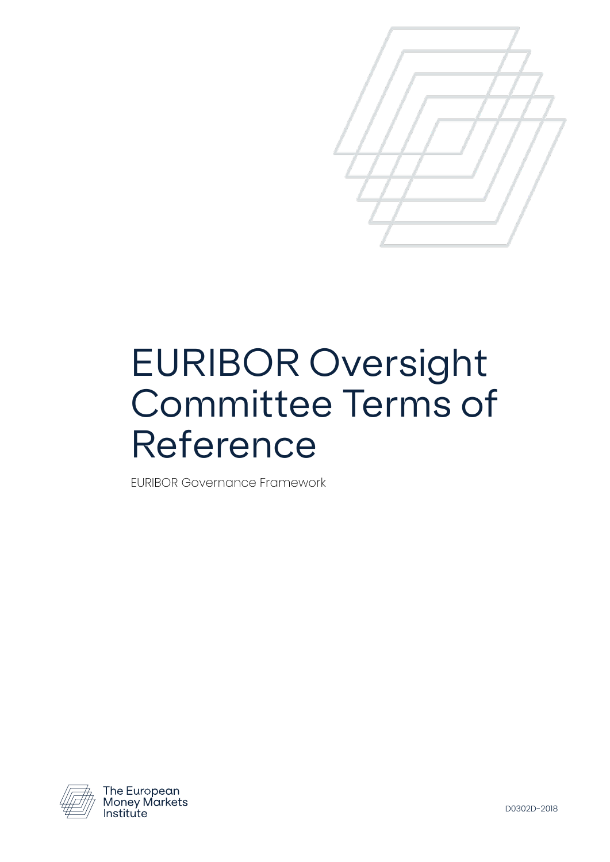

# EURIBOR Oversight Committee Terms of Reference

EURIBOR Governance Framework

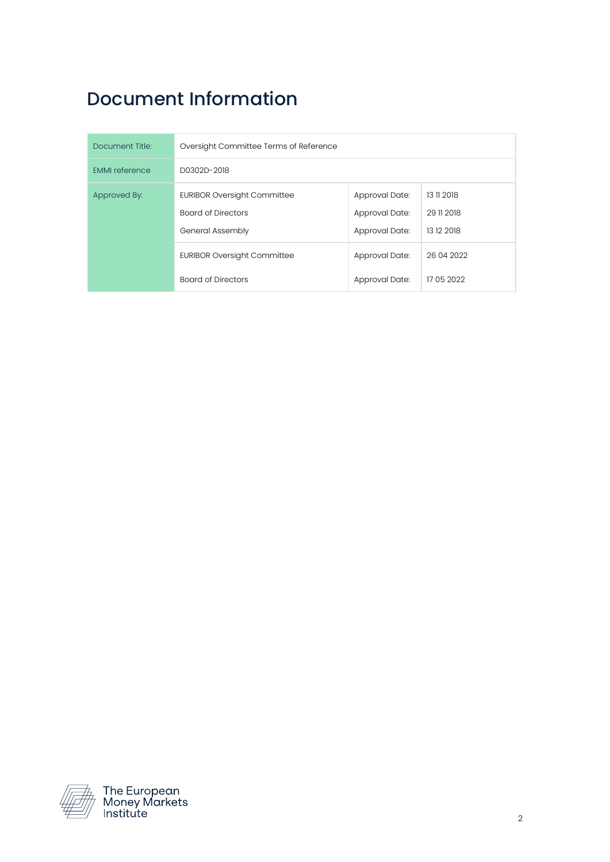# Document Information

| Document Title:       | Oversight Committee Terms of Reference                                              |                                                    |                                        |
|-----------------------|-------------------------------------------------------------------------------------|----------------------------------------------------|----------------------------------------|
| <b>EMMI</b> reference | D0302D-2018                                                                         |                                                    |                                        |
| Approved By:          | <b>EURIBOR Oversight Committee</b><br><b>Board of Directors</b><br>General Assembly | Approval Date:<br>Approval Date:<br>Approval Date: | 13 11 2018<br>29 11 2018<br>13 12 2018 |
|                       | <b>EURIBOR Oversight Committee</b>                                                  | Approval Date:                                     | 26 04 2022                             |
|                       | <b>Board of Directors</b>                                                           | Approval Date:                                     | 17 05 2022                             |



The European<br>Money Markets<br>Institute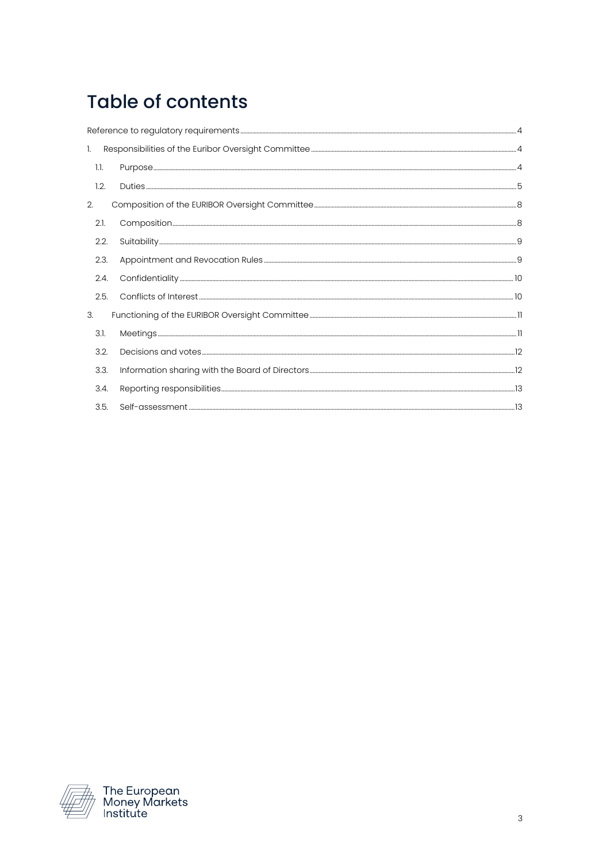# **Table of contents**

| 1. |      |  |  |  |  |  |
|----|------|--|--|--|--|--|
|    | 1.1. |  |  |  |  |  |
|    | 1.2. |  |  |  |  |  |
| 2. |      |  |  |  |  |  |
|    | 2.1. |  |  |  |  |  |
|    | 2.2. |  |  |  |  |  |
|    | 2.3. |  |  |  |  |  |
|    | 2.4. |  |  |  |  |  |
|    | 2.5. |  |  |  |  |  |
| 3. |      |  |  |  |  |  |
|    | 3.1. |  |  |  |  |  |
|    | 3.2. |  |  |  |  |  |
|    | 3.3. |  |  |  |  |  |
|    | 3.4. |  |  |  |  |  |
|    | 3.5. |  |  |  |  |  |

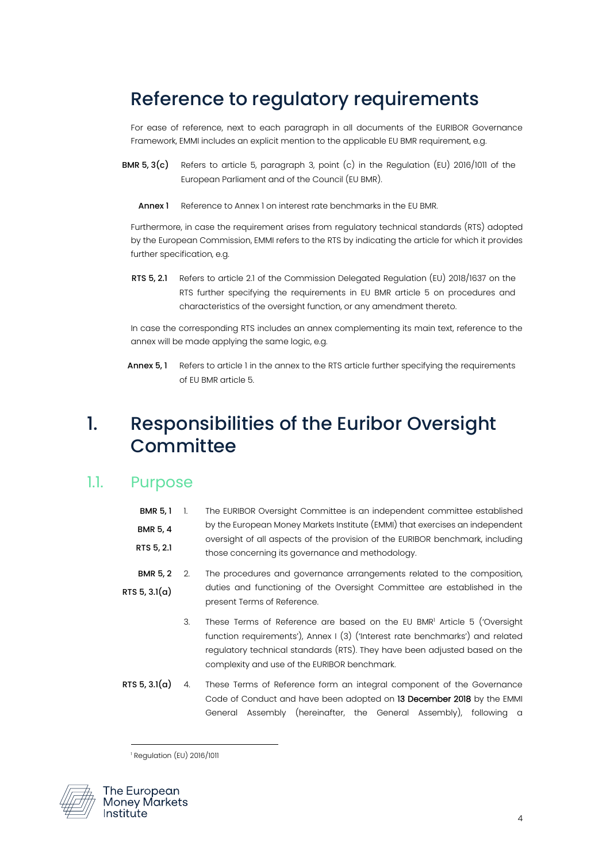# <span id="page-3-0"></span>Reference to regulatory requirements

For ease of reference, next to each paragraph in all documents of the EURIBOR Governance Framework, EMMI includes an explicit mention to the applicable EU BMR requirement, e.g.

- BMR 5, 3(c) Refers to article 5, paragraph 3, point (c) in the Regulation (EU) 2016/1011 of the European Parliament and of the Council (EU BMR).
	- Annex 1 Reference to Annex 1 on interest rate benchmarks in the EU BMR.

Furthermore, in case the requirement arises from regulatory technical standards (RTS) adopted by the European Commission, EMMI refers to the RTS by indicating the article for which it provides further specification, e.g.

RTS 5, 2.1 Refers to article 2.1 of the Commission Delegated Regulation (EU) 2018/1637 on the RTS further specifying the requirements in EU BMR article 5 on procedures and characteristics of the oversight function, or any amendment thereto.

In case the corresponding RTS includes an annex complementing its main text, reference to the annex will be made applying the same logic, e.g.

Annex 5.1 Refers to article 1 in the annex to the RTS article further specifying the requirements of EU BMR article 5.

## <span id="page-3-1"></span>1. Responsibilities of the Euribor Oversight **Committee**

#### <span id="page-3-2"></span>1.1. Purpose

| <b>BMR 5, 1</b><br><b>BMR 5, 4</b><br>RTS 5, 2.1 | 1. | The EURIBOR Oversight Committee is an independent committee established<br>by the European Money Markets Institute (EMMI) that exercises an independent<br>oversight of all aspects of the provision of the EURIBOR benchmark, including<br>those concerning its governance and methodology.       |
|--------------------------------------------------|----|----------------------------------------------------------------------------------------------------------------------------------------------------------------------------------------------------------------------------------------------------------------------------------------------------|
| <b>BMR 5, 2</b><br>RTS 5, 3.1(a)                 | 2. | The procedures and governance arrangements related to the composition,<br>duties and functioning of the Oversight Committee are established in the<br>present Terms of Reference.                                                                                                                  |
|                                                  | 3. | These Terms of Reference are based on the EU BMR <sup>1</sup> Article 5 ('Oversight<br>function requirements'), Annex I (3) ('Interest rate benchmarks') and related<br>regulatory technical standards (RTS). They have been adjusted based on the<br>complexity and use of the EURIBOR benchmark. |
| RTS 5, 3.1(a)                                    | 4. | These Terms of Reference form an integral component of the Governance<br>Code of Conduct and have been adopted on 13 December 2018 by the EMMI<br>Assembly (hereinafter, the General Assembly), following a<br>General                                                                             |

<sup>1</sup> Regulation (EU) 2016/1011

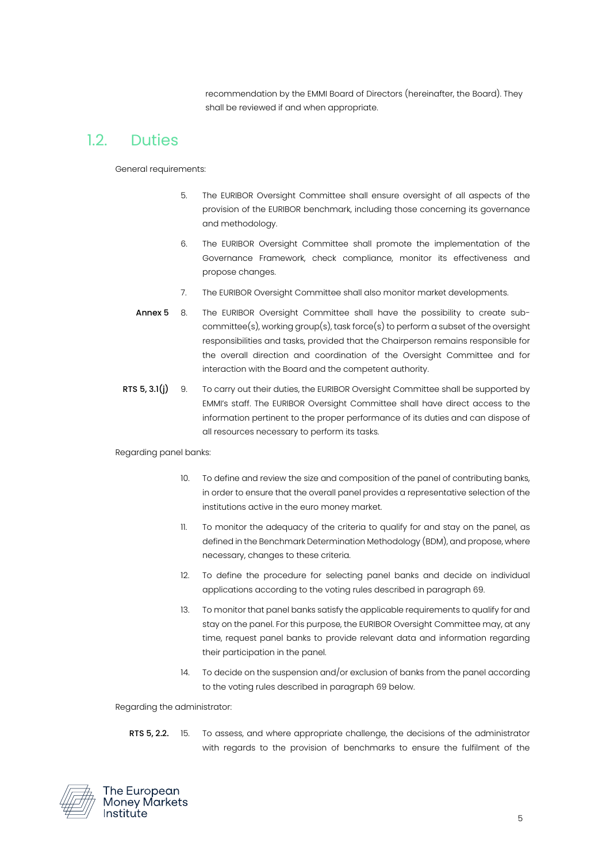recommendation by the EMMI Board of Directors (hereinafter, the Board). They shall be reviewed if and when appropriate.

#### <span id="page-4-0"></span>1.2. Duties

General requirements:

- 5. The EURIBOR Oversight Committee shall ensure oversight of all aspects of the provision of the EURIBOR benchmark, including those concerning its governance and methodology.
- 6. The EURIBOR Oversight Committee shall promote the implementation of the Governance Framework, check compliance, monitor its effectiveness and propose changes.
- 7. The EURIBOR Oversight Committee shall also monitor market developments.
- Annex 5 8. The EURIBOR Oversight Committee shall have the possibility to create subcommittee(s), working group(s), task force(s) to perform a subset of the oversight responsibilities and tasks, provided that the Chairperson remains responsible for the overall direction and coordination of the Oversight Committee and for interaction with the Board and the competent authority.
- RTS 5, 3.1(j) 9. To carry out their duties, the EURIBOR Oversight Committee shall be supported by EMMI's staff. The EURIBOR Oversight Committee shall have direct access to the information pertinent to the proper performance of its duties and can dispose of all resources necessary to perform its tasks.

Regarding panel banks:

- 10. To define and review the size and composition of the panel of contributing banks, in order to ensure that the overall panel provides a representative selection of the institutions active in the euro money market.
- 11. To monitor the adequacy of the criteria to qualify for and stay on the panel, as defined in the Benchmark Determination Methodology (BDM), and propose, where necessary, changes to these criteria.
- 12. To define the procedure for selecting panel banks and decide on individual applications according to the voting rules described in paragraph [69.](#page-11-2)
- 13. To monitor that panel banks satisfy the applicable requirements to qualify for and stay on the panel. For this purpose, the EURIBOR Oversight Committee may, at any time, request panel banks to provide relevant data and information regarding their participation in the panel.
- 14. To decide on the suspension and/or exclusion of banks from the panel according to the voting rules described in paragrap[h 69](#page-11-2) below.

Regarding the administrator:

RTS 5, 2.2. 15. 15. To assess, and where appropriate challenge, the decisions of the administrator with regards to the provision of benchmarks to ensure the fulfilment of the

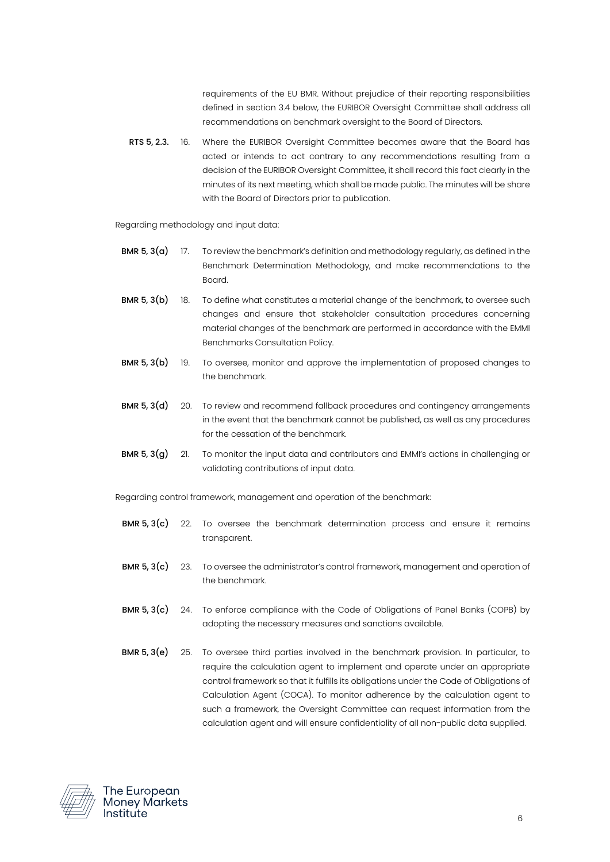requirements of the EU BMR. Without prejudice of their reporting responsibilities defined in section [3.4](#page-12-0) below, the EURIBOR Oversight Committee shall address all recommendations on benchmark oversight to the Board of Directors.

RTS 5, 2.3. 16. Where the EURIBOR Oversight Committee becomes aware that the Board has acted or intends to act contrary to any recommendations resulting from a decision of the EURIBOR Oversight Committee, it shall record this fact clearly in the minutes of its next meeting, which shall be made public. The minutes will be share with the Board of Directors prior to publication.

Regarding methodology and input data:

- BMR 5,  $3(a)$  17. To review the benchmark's definition and methodology regularly, as defined in the Benchmark Determination Methodology, and make recommendations to the Board.
- BMR 5, 3(b) 18. To define what constitutes a material change of the benchmark, to oversee such changes and ensure that stakeholder consultation procedures concerning material changes of the benchmark are performed in accordance with the EMMI Benchmarks Consultation Policy.
- BMR 5, 3(b) 19. To oversee, monitor and approve the implementation of proposed changes to the benchmark.
- BMR 5, 3(d) 20. To review and recommend fallback procedures and contingency arrangements in the event that the benchmark cannot be published, as well as any procedures for the cessation of the benchmark.
- BMR 5, 3(g) 21. To monitor the input data and contributors and EMMI's actions in challenging or validating contributions of input data.

Regarding control framework, management and operation of the benchmark:

- **BMR 5, 3(c)** 22. To oversee the benchmark determination process and ensure it remains transparent.
- BMR 5, 3(c) 23. To oversee the administrator's control framework, management and operation of the benchmark.
- BMR 5, 3(c) 24. To enforce compliance with the Code of Obligations of Panel Banks (COPB) by adopting the necessary measures and sanctions available.
- BMR 5, 3(e) 25. To oversee third parties involved in the benchmark provision. In particular, to require the calculation agent to implement and operate under an appropriate control framework so that it fulfills its obligations under the Code of Obligations of Calculation Agent (COCA). To monitor adherence by the calculation agent to such a framework, the Oversight Committee can request information from the calculation agent and will ensure confidentiality of all non-public data supplied.

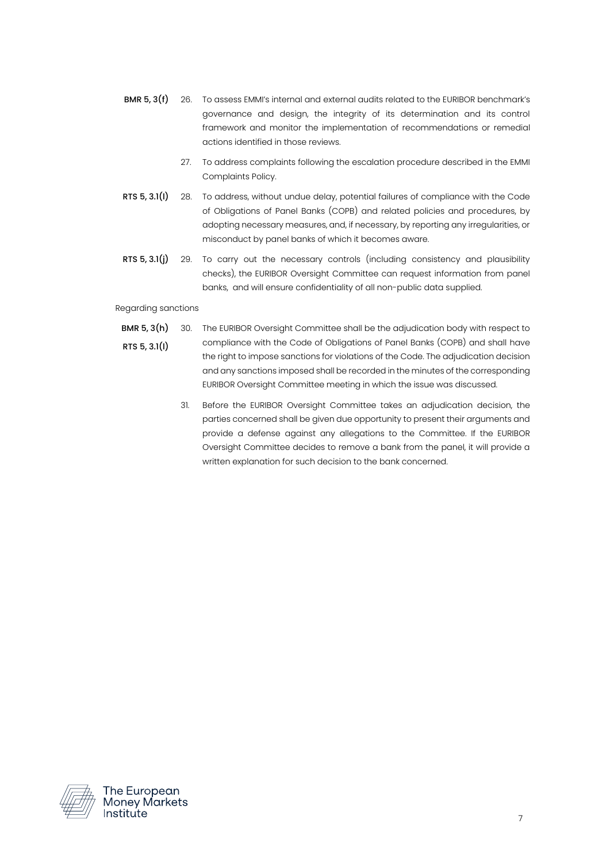- BMR 5, 3(f) 26. To assess EMMI's internal and external audits related to the EURIBOR benchmark's governance and design, the integrity of its determination and its control framework and monitor the implementation of recommendations or remedial actions identified in those reviews.
	- 27. To address complaints following the escalation procedure described in the EMMI Complaints Policy.
- RTS 5, 3.1(1) 28. To address, without undue delay, potential failures of compliance with the Code of Obligations of Panel Banks (COPB) and related policies and procedures, by adopting necessary measures, and, if necessary, by reporting any irregularities, or misconduct by panel banks of which it becomes aware.
- RTS 5, 3.1(j) 29. To carry out the necessary controls (including consistency and plausibility checks), the EURIBOR Oversight Committee can request information from panel banks, and will ensure confidentiality of all non-public data supplied.

#### Regarding sanctions

- BMR 5, 3(h) RTS 5, 3.1(l) 30. The EURIBOR Oversight Committee shall be the adjudication body with respect to compliance with the Code of Obligations of Panel Banks (COPB) and shall have the right to impose sanctions for violations of the Code. The adjudication decision and any sanctions imposed shall be recorded in the minutes of the corresponding EURIBOR Oversight Committee meeting in which the issue was discussed.
	- 31. Before the EURIBOR Oversight Committee takes an adjudication decision, the parties concerned shall be given due opportunity to present their arguments and provide a defense against any allegations to the Committee. If the EURIBOR Oversight Committee decides to remove a bank from the panel, it will provide a written explanation for such decision to the bank concerned.

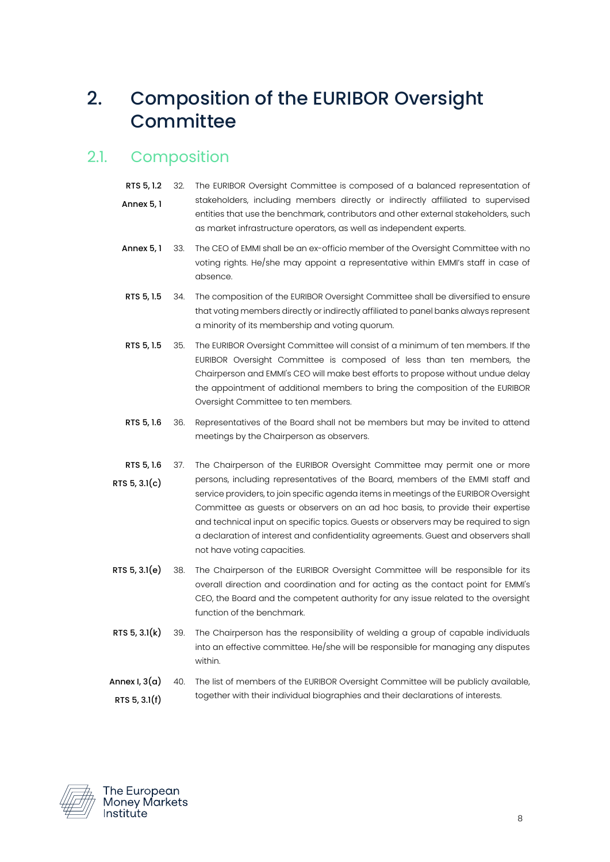# <span id="page-7-0"></span>2. Composition of the EURIBOR Oversight **Committee**

#### <span id="page-7-1"></span>2.1. Composition

- RTS 5, 1.2 32. The EURIBOR Oversight Committee is composed of a balanced representation of Annex 5, 1 stakeholders, including members directly or indirectly affiliated to supervised entities that use the benchmark, contributors and other external stakeholders, such as market infrastructure operators, as well as independent experts.
- Annex 5, 1 33. The CEO of EMMI shall be an ex-officio member of the Oversight Committee with no voting rights. He/she may appoint a representative within EMMI's staff in case of absence.
- RTS 5, 1.5 34. The composition of the EURIBOR Oversight Committee shall be diversified to ensure that voting members directly or indirectly affiliated to panel banks always represent a minority of its membership and voting quorum.
- RTS 5, 1.5 35. The EURIBOR Oversight Committee will consist of a minimum of ten members. If the EURIBOR Oversight Committee is composed of less than ten members, the Chairperson and EMMI's CEO will make best efforts to propose without undue delay the appointment of additional members to bring the composition of the EURIBOR Oversight Committee to ten members.
- <span id="page-7-2"></span>RTS 5, 1.6 36. Representatives of the Board shall not be members but may be invited to attend meetings by the Chairperson as observers.
- RTS 5, 1.6 RTS 5, 3.1(c) 37. The Chairperson of the EURIBOR Oversight Committee may permit one or more persons, including representatives of the Board, members of the EMMI staff and service providers, to join specific agenda items in meetings of the EURIBOR Oversight Committee as guests or observers on an ad hoc basis, to provide their expertise and technical input on specific topics. Guests or observers may be required to sign a declaration of interest and confidentiality agreements. Guest and observers shall not have voting capacities.
- RTS 5, 3.1(e) 38. The Chairperson of the EURIBOR Oversight Committee will be responsible for its overall direction and coordination and for acting as the contact point for EMMI's CEO, the Board and the competent authority for any issue related to the oversight function of the benchmark.
- RTS 5, 3.1(k) 39. The Chairperson has the responsibility of welding a group of capable individuals into an effective committee. He/she will be responsible for managing any disputes within.
- Annex I,  $3(a)$ RTS 5, 3.1(f) 40. The list of members of the EURIBOR Oversight Committee will be publicly available, together with their individual biographies and their declarations of interests.

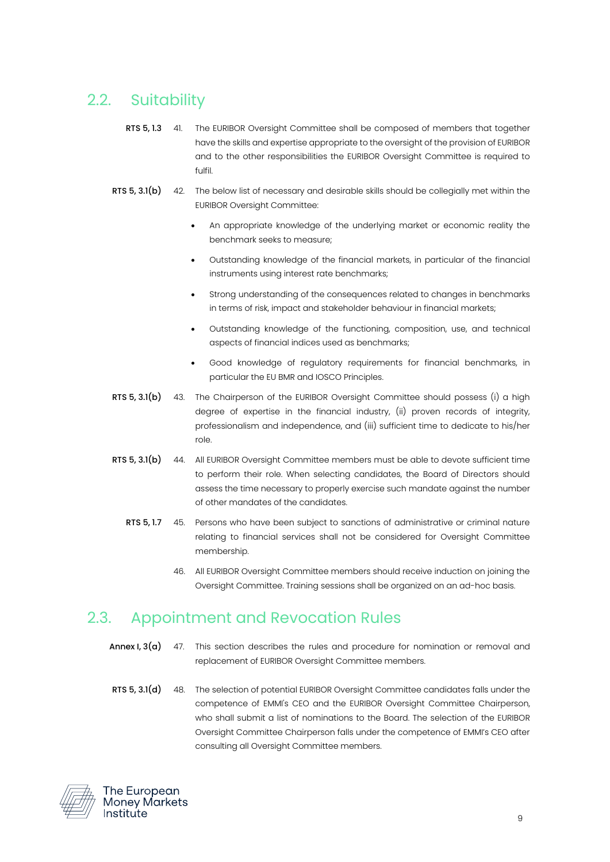#### <span id="page-8-0"></span>2.2. Suitability

- RTS 5, 1.3 41. The EURIBOR Oversight Committee shall be composed of members that together have the skills and expertise appropriate to the oversight of the provision of EURIBOR and to the other responsibilities the EURIBOR Oversight Committee is required to fulfil.
- RTS 5, 3.1(b) 42. The below list of necessary and desirable skills should be collegially met within the EURIBOR Oversight Committee:
	- An appropriate knowledge of the underlying market or economic reality the benchmark seeks to measure;
	- Outstanding knowledge of the financial markets, in particular of the financial instruments using interest rate benchmarks;
	- Strong understanding of the consequences related to changes in benchmarks in terms of risk, impact and stakeholder behaviour in financial markets;
	- Outstanding knowledge of the functioning, composition, use, and technical aspects of financial indices used as benchmarks;
	- Good knowledge of regulatory requirements for financial benchmarks, in particular the EU BMR and IOSCO Principles.
- RTS 5, 3.1(b) 43. The Chairperson of the EURIBOR Oversight Committee should possess (i) a high degree of expertise in the financial industry, (ii) proven records of integrity, professionalism and independence, and (iii) sufficient time to dedicate to his/her role.
- RTS 5, 3.1(b) 44. All EURIBOR Oversight Committee members must be able to devote sufficient time to perform their role. When selecting candidates, the Board of Directors should assess the time necessary to properly exercise such mandate against the number of other mandates of the candidates.
	- RTS 5, 1.7 45. Persons who have been subject to sanctions of administrative or criminal nature relating to financial services shall not be considered for Oversight Committee membership.
		- 46. All EURIBOR Oversight Committee members should receive induction on joining the Oversight Committee. Training sessions shall be organized on an ad-hoc basis.

#### <span id="page-8-1"></span>2.3. Appointment and Revocation Rules

- Annex I,  $3(a)$  47. This section describes the rules and procedure for nomination or removal and replacement of EURIBOR Oversight Committee members.
- RTS 5, 3.1(d) 48. The selection of potential EURIBOR Oversight Committee candidates falls under the competence of EMMI's CEO and the EURIBOR Oversight Committee Chairperson, who shall submit a list of nominations to the Board. The selection of the EURIBOR Oversight Committee Chairperson falls under the competence of EMMI's CEO after consulting all Oversight Committee members.

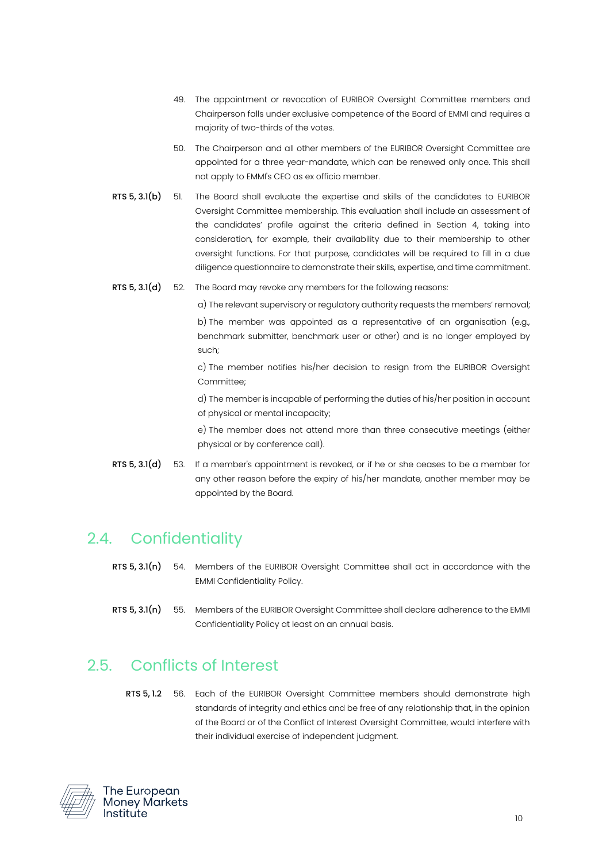- 49. The appointment or revocation of EURIBOR Oversight Committee members and Chairperson falls under exclusive competence of the Board of EMMI and requires a majority of two-thirds of the votes.
- 50. The Chairperson and all other members of the EURIBOR Oversight Committee are appointed for a three year-mandate, which can be renewed only once. This shall not apply to EMMI's CEO as ex officio member.
- RTS 5, 3.1(b) 51. The Board shall evaluate the expertise and skills of the candidates to EURIBOR Oversight Committee membership. This evaluation shall include an assessment of the candidates' profile against the criteria defined in Section 4, taking into consideration, for example, their availability due to their membership to other oversight functions. For that purpose, candidates will be required to fill in a due diligence questionnaire to demonstrate their skills, expertise, and time commitment.
- RTS 5, 3.1(d) 52. The Board may revoke any members for the following reasons:

a) The relevant supervisory or regulatory authority requests the members' removal;

b) The member was appointed as a representative of an organisation (e.g., benchmark submitter, benchmark user or other) and is no longer employed by such;

c) The member notifies his/her decision to resign from the EURIBOR Oversight Committee;

d) The member is incapable of performing the duties of his/her position in account of physical or mental incapacity;

e) The member does not attend more than three consecutive meetings (either physical or by conference call).

RTS 5, 3.1(d) 53. If a member's appointment is revoked, or if he or she ceases to be a member for any other reason before the expiry of his/her mandate, another member may be appointed by the Board.

#### <span id="page-9-0"></span>2.4. Confidentiality

- RTS 5, 3.1(n) 54. Members of the EURIBOR Oversight Committee shall act in accordance with the EMMI Confidentiality Policy.
- RTS 5, 3.1(n) 55. Members of the EURIBOR Oversight Committee shall declare adherence to the EMMI Confidentiality Policy at least on an annual basis.

#### <span id="page-9-1"></span>2.5. Conflicts of Interest

RTS 5, 1.2 56. Each of the EURIBOR Oversight Committee members should demonstrate high standards of integrity and ethics and be free of any relationship that, in the opinion of the Board or of the Conflict of Interest Oversight Committee, would interfere with their individual exercise of independent judgment.

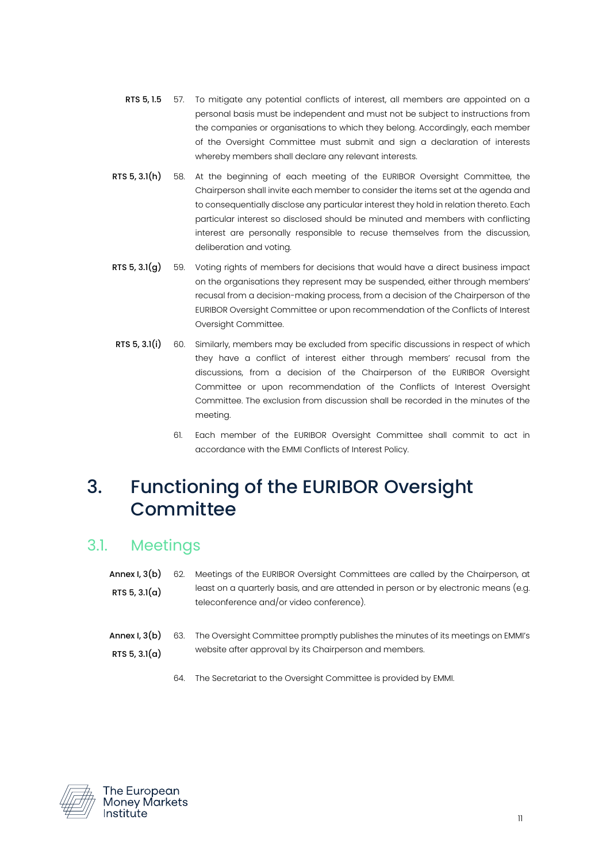- RTS 5, 1.5 57. To mitigate any potential conflicts of interest, all members are appointed on a personal basis must be independent and must not be subject to instructions from the companies or organisations to which they belong. Accordingly, each member of the Oversight Committee must submit and sign a declaration of interests whereby members shall declare any relevant interests.
- RTS 5, 3.1(h) 58. At the beginning of each meeting of the EURIBOR Oversight Committee, the Chairperson shall invite each member to consider the items set at the agenda and to consequentially disclose any particular interest they hold in relation thereto. Each particular interest so disclosed should be minuted and members with conflicting interest are personally responsible to recuse themselves from the discussion, deliberation and voting.
- RTS 5, 3.1(g) 59. Voting rights of members for decisions that would have a direct business impact on the organisations they represent may be suspended, either through members' recusal from a decision-making process, from a decision of the Chairperson of the EURIBOR Oversight Committee or upon recommendation of the Conflicts of Interest Oversight Committee.
- RTS 5, 3.1(i) 60. Similarly, members may be excluded from specific discussions in respect of which they have a conflict of interest either through members' recusal from the discussions, from a decision of the Chairperson of the EURIBOR Oversight Committee or upon recommendation of the Conflicts of Interest Oversight Committee. The exclusion from discussion shall be recorded in the minutes of the meeting.
	- 61. Each member of the EURIBOR Oversight Committee shall commit to act in accordance with the EMMI Conflicts of Interest Policy.

# <span id="page-10-0"></span>3. Functioning of the EURIBOR Oversight **Committee**

#### <span id="page-10-1"></span>3.1. Meetings

| Annex $I.3(b)$  | 62. | Meetings of the EURIBOR Oversight Committees are called by the Chairperson, at      |
|-----------------|-----|-------------------------------------------------------------------------------------|
| RTS 5, $3.1(a)$ |     | least on a quarterly basis, and are attended in person or by electronic means (e.g. |
|                 |     | teleconference and/or video conference).                                            |

- Annex I, 3(b) RTS  $5, 3.1(a)$ 63. The Oversight Committee promptly publishes the minutes of its meetings on EMMI's website after approval by its Chairperson and members.
	- 64. The Secretariat to the Oversight Committee is provided by EMMI.

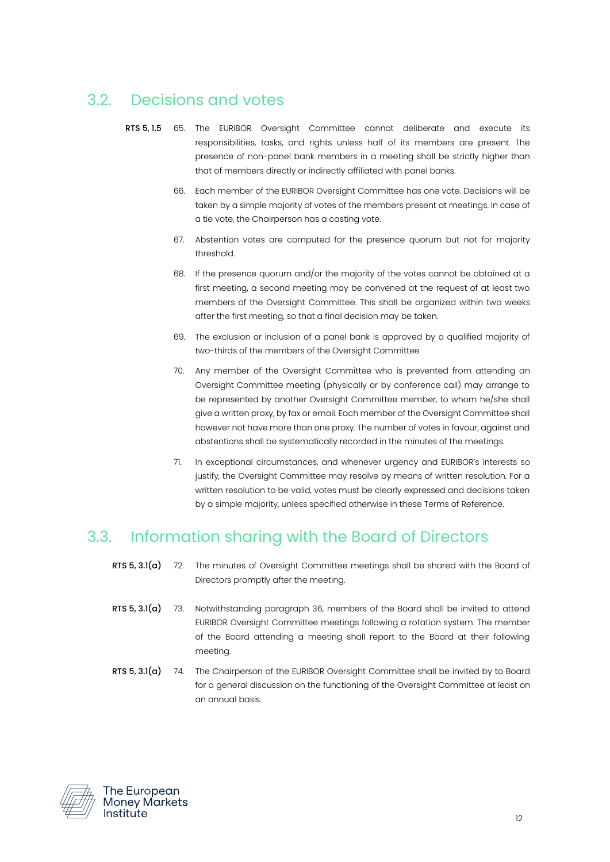### <span id="page-11-0"></span>3.2. Decisions and votes

- <span id="page-11-2"></span>RTS 5, 1.5 65. The EURIBOR Oversight Committee cannot deliberate and execute its responsibilities, tasks, and rights unless half of its members are present. The presence of non-panel bank members in a meeting shall be strictly higher than that of members directly or indirectly affiliated with panel banks.
	- 66. Each member of the EURIBOR Oversight Committee has one vote. Decisions will be taken by a simple majority of votes of the members present at meetings. In case of a tie vote, the Chairperson has a casting vote.
	- 67. Abstention votes are computed for the presence quorum but not for majority threshold.
	- 68. If the presence quorum and/or the majority of the votes cannot be obtained at a first meeting, a second meeting may be convened at the request of at least two members of the Oversight Committee. This shall be organized within two weeks after the first meeting, so that a final decision may be taken.
	- 69. The exclusion or inclusion of a panel bank is approved by a qualified majority of two-thirds of the members of the Oversight Committee
	- 70. Any member of the Oversight Committee who is prevented from attending an Oversight Committee meeting (physically or by conference call) may arrange to be represented by another Oversight Committee member, to whom he/she shall give a written proxy, by fax or email. Each member of the Oversight Committee shall however not have more than one proxy. The number of votes in favour, against and abstentions shall be systematically recorded in the minutes of the meetings.
	- 71. In exceptional circumstances, and whenever urgency and EURIBOR's interests so justify, the Oversight Committee may resolve by means of written resolution. For a written resolution to be valid, votes must be clearly expressed and decisions taken by a simple majority, unless specified otherwise in these Terms of Reference.

#### <span id="page-11-1"></span>3.3. Information sharing with the Board of Directors

- RTS 5, 3.1(a) 72. The minutes of Oversight Committee meetings shall be shared with the Board of Directors promptly after the meeting.
- RTS 5, 3.1(a) 73. Notwithstanding paragraph [36,](#page-7-2) members of the Board shall be invited to attend EURIBOR Oversight Committee meetings following a rotation system. The member of the Board attending a meeting shall report to the Board at their following meeting.
- RTS 5, 3.1(a) 74. The Chairperson of the EURIBOR Oversight Committee shall be invited by to Board for a general discussion on the functioning of the Oversight Committee at least on an annual basis.